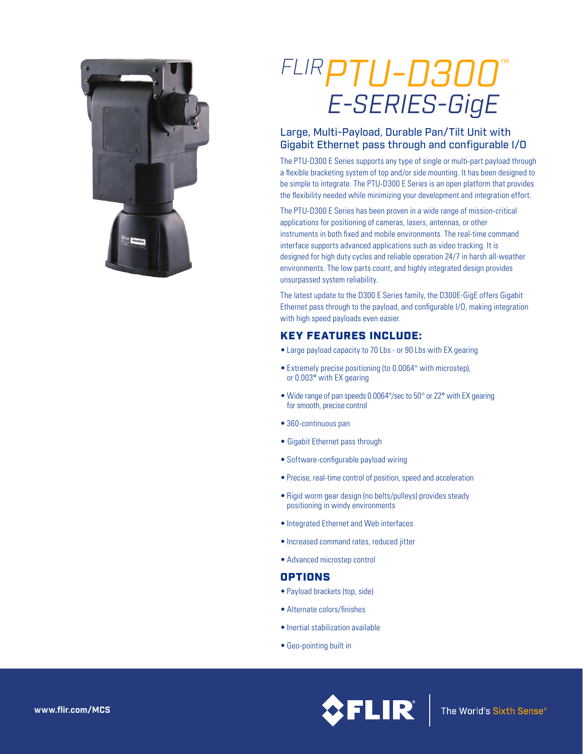

# *FLIRPTU-D300 ™E-SERIES-GigE*

## Large, Multi-Payload, Durable Pan/Tilt Unit with Gigabit Ethernet pass through and configurable I/O

The PTU-D300 E Series supports any type of single or multi-part payload through a flexible bracketing system of top and/or side mounting. It has been designed to be simple to integrate. The PTU-D300 E Series is an open platform that provides the flexibility needed while minimizing your development and integration effort.

The PTU-D300 E Series has been proven in a wide range of mission-critical applications for positioning of cameras, lasers, antennas, or other instruments in both fixed and mobile environments. The real-time command interface supports advanced applications such as video tracking. It is designed for high duty cycles and reliable operation 24/7 in harsh all-weather environments. The low parts count, and highly integrated design provides unsurpassed system reliability.

The latest update to the D300 E Series family, the D300E-GigE offers Gigabit Ethernet pass through to the payload, and configurable I/O, making integration with high speed payloads even easier.

# KEY FEATURES INCLUDE:

- Large payload capacity to 70 Lbs or 90 Lbs with EX gearing
- Extremely precise positioning (to 0.0064° with microstep), or 0.003° with EX gearing
- Wide range of pan speeds 0.0064°/sec to 50° or 22° with EX gearing for smooth, precise control
- 360-continuous pan
- Gigabit Ethernet pass through
- Software-configurable payload wiring
- Precise, real-time control of position, speed and acceleration
- Rigid worm gear design (no belts/pulleys) provides steady positioning in windy environments
- Integrated Ethernet and Web interfaces
- Increased command rates, reduced jitter
- Advanced microstep control

## **OPTIONS**

- Payload brackets (top, side)
- Alternate colors/finishes
- Inertial stabilization available
- Geo-pointing built in